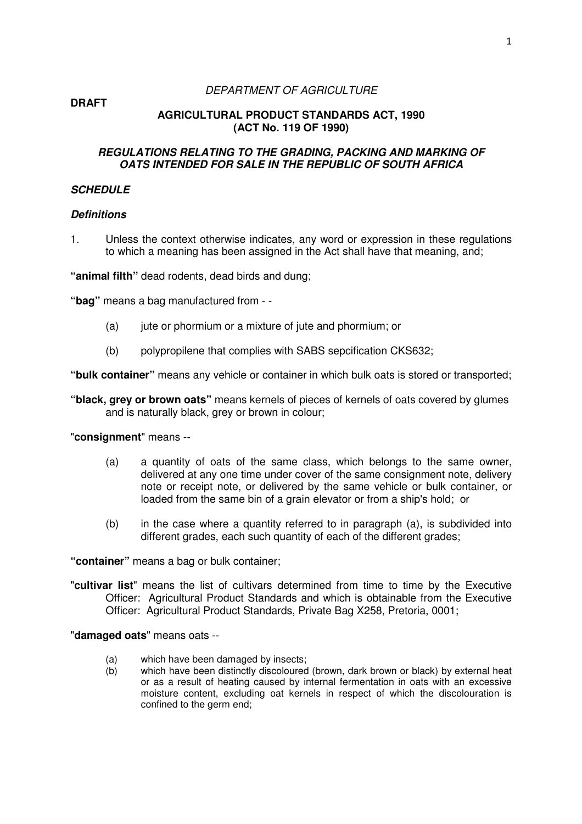**DRAFT** 

#### DEPARTMENT OF AGRICULTURE

# **AGRICULTURAL PRODUCT STANDARDS ACT, 1990 (ACT No. 119 OF 1990)**

# **REGULATIONS RELATING TO THE GRADING, PACKING AND MARKING OF OATS INTENDED FOR SALE IN THE REPUBLIC OF SOUTH AFRICA**

# **SCHEDULE**

### **Definitions**

1. Unless the context otherwise indicates, any word or expression in these regulations to which a meaning has been assigned in the Act shall have that meaning, and;

**"animal filth"** dead rodents, dead birds and dung;

**"bag"** means a bag manufactured from - -

- (a) jute or phormium or a mixture of jute and phormium; or
- (b) polypropilene that complies with SABS sepcification CKS632;

**"bulk container"** means any vehicle or container in which bulk oats is stored or transported;

**"black, grey or brown oats"** means kernels of pieces of kernels of oats covered by glumes and is naturally black, grey or brown in colour;

"**consignment**" means --

- (a) a quantity of oats of the same class, which belongs to the same owner, delivered at any one time under cover of the same consignment note, delivery note or receipt note, or delivered by the same vehicle or bulk container, or loaded from the same bin of a grain elevator or from a ship's hold; or
- (b) in the case where a quantity referred to in paragraph (a), is subdivided into different grades, each such quantity of each of the different grades;

**"container"** means a bag or bulk container;

"**cultivar list**" means the list of cultivars determined from time to time by the Executive Officer: Agricultural Product Standards and which is obtainable from the Executive Officer: Agricultural Product Standards, Private Bag X258, Pretoria, 0001;

"**damaged oats**" means oats --

- (a) which have been damaged by insects;
- (b) which have been distinctly discoloured (brown, dark brown or black) by external heat or as a result of heating caused by internal fermentation in oats with an excessive moisture content, excluding oat kernels in respect of which the discolouration is confined to the germ end;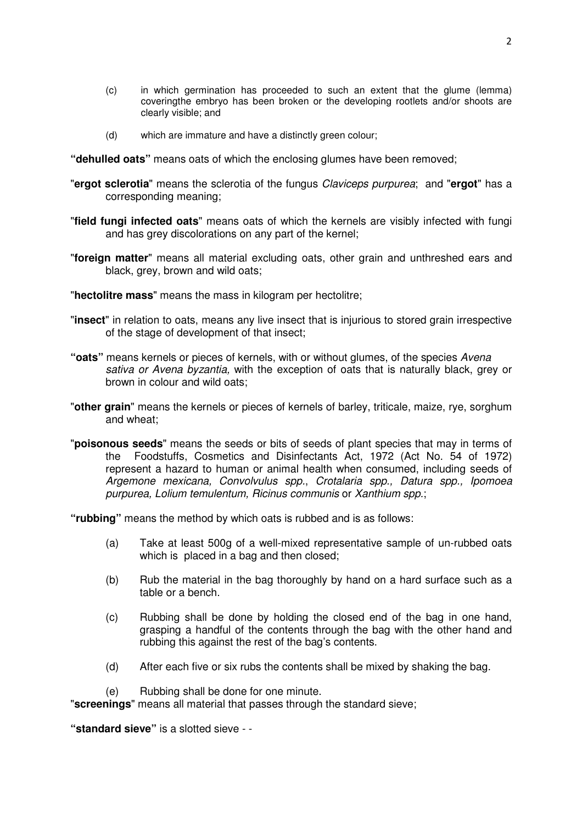- (c) in which germination has proceeded to such an extent that the glume (lemma) coveringthe embryo has been broken or the developing rootlets and/or shoots are clearly visible; and
- (d) which are immature and have a distinctly green colour;

**"dehulled oats"** means oats of which the enclosing glumes have been removed;

- "**ergot sclerotia**" means the sclerotia of the fungus Claviceps purpurea; and "**ergot**" has a corresponding meaning;
- "**field fungi infected oats**" means oats of which the kernels are visibly infected with fungi and has grey discolorations on any part of the kernel;
- "**foreign matter**" means all material excluding oats, other grain and unthreshed ears and black, grey, brown and wild oats;
- "**hectolitre mass**" means the mass in kilogram per hectolitre;
- "**insect**" in relation to oats, means any live insect that is injurious to stored grain irrespective of the stage of development of that insect;
- **"oats"** means kernels or pieces of kernels, with or without glumes, of the species Avena sativa or Avena byzantia, with the exception of oats that is naturally black, grey or brown in colour and wild oats;
- "**other grain**" means the kernels or pieces of kernels of barley, triticale, maize, rye, sorghum and wheat;
- "**poisonous seeds**" means the seeds or bits of seeds of plant species that may in terms of the Foodstuffs, Cosmetics and Disinfectants Act, 1972 (Act No. 54 of 1972) represent a hazard to human or animal health when consumed, including seeds of Argemone mexicana, Convolvulus spp., Crotalaria spp., Datura spp., Ipomoea purpurea, Lolium temulentum, Ricinus communis or Xanthium spp.;

**"rubbing"** means the method by which oats is rubbed and is as follows:

- (a) Take at least 500g of a well-mixed representative sample of un-rubbed oats which is placed in a bag and then closed;
- (b) Rub the material in the bag thoroughly by hand on a hard surface such as a table or a bench.
- (c) Rubbing shall be done by holding the closed end of the bag in one hand, grasping a handful of the contents through the bag with the other hand and rubbing this against the rest of the bag's contents.
- (d) After each five or six rubs the contents shall be mixed by shaking the bag.
- (e) Rubbing shall be done for one minute.

"**screenings**" means all material that passes through the standard sieve;

**"standard sieve"** is a slotted sieve - -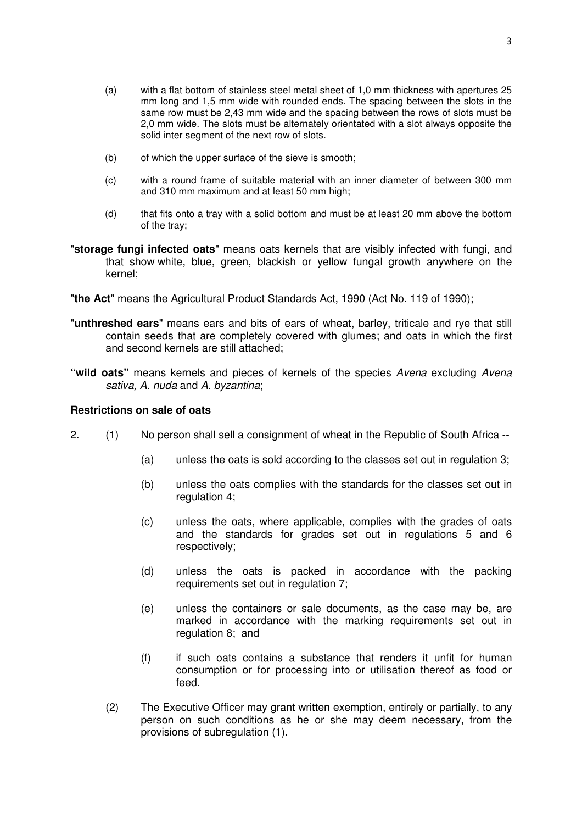- (a) with a flat bottom of stainless steel metal sheet of 1,0 mm thickness with apertures 25 mm long and 1,5 mm wide with rounded ends. The spacing between the slots in the same row must be 2,43 mm wide and the spacing between the rows of slots must be 2,0 mm wide. The slots must be alternately orientated with a slot always opposite the solid inter seament of the next row of slots.
- (b) of which the upper surface of the sieve is smooth;
- (c) with a round frame of suitable material with an inner diameter of between 300 mm and 310 mm maximum and at least 50 mm high;
- (d) that fits onto a tray with a solid bottom and must be at least 20 mm above the bottom of the tray;
- "**storage fungi infected oats**" means oats kernels that are visibly infected with fungi, and that show white, blue, green, blackish or yellow fungal growth anywhere on the kernel;
- "**the Act**" means the Agricultural Product Standards Act, 1990 (Act No. 119 of 1990);
- "**unthreshed ears**" means ears and bits of ears of wheat, barley, triticale and rye that still contain seeds that are completely covered with glumes; and oats in which the first and second kernels are still attached;
- **"wild oats"** means kernels and pieces of kernels of the species Avena excluding Avena sativa, A. nuda and A. byzantina;

#### **Restrictions on sale of oats**

- 2. (1) No person shall sell a consignment of wheat in the Republic of South Africa --
	- (a) unless the oats is sold according to the classes set out in regulation 3;
	- (b) unless the oats complies with the standards for the classes set out in regulation 4;
	- (c) unless the oats, where applicable, complies with the grades of oats and the standards for grades set out in regulations 5 and 6 respectively;
	- (d) unless the oats is packed in accordance with the packing requirements set out in regulation 7;
	- (e) unless the containers or sale documents, as the case may be, are marked in accordance with the marking requirements set out in regulation 8; and
	- (f) if such oats contains a substance that renders it unfit for human consumption or for processing into or utilisation thereof as food or feed.
	- (2) The Executive Officer may grant written exemption, entirely or partially, to any person on such conditions as he or she may deem necessary, from the provisions of subregulation (1).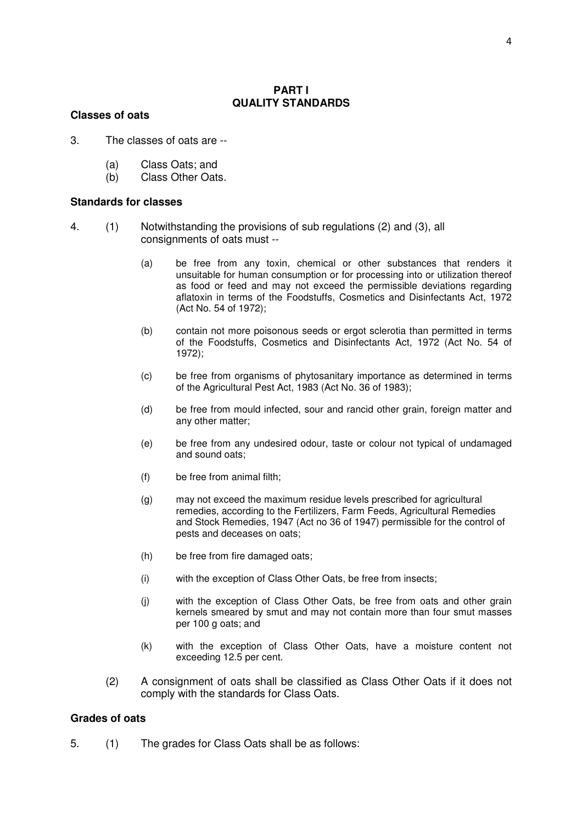#### **PART I QUALITY STANDARDS**

#### **Classes of oats**

- 3. The classes of oats are --
	- (a) Class Oats; and
	- (b) Class Other Oats.

#### **Standards for classes**

- 4. (1) Notwithstanding the provisions of sub regulations (2) and (3), all consignments of oats must --
	- (a) be free from any toxin, chemical or other substances that renders it unsuitable for human consumption or for processing into or utilization thereof as food or feed and may not exceed the permissible deviations regarding aflatoxin in terms of the Foodstuffs, Cosmetics and Disinfectants Act, 1972 (Act No. 54 of 1972);
	- (b) contain not more poisonous seeds or ergot sclerotia than permitted in terms of the Foodstuffs, Cosmetics and Disinfectants Act, 1972 (Act No. 54 of 1972);
	- (c) be free from organisms of phytosanitary importance as determined in terms of the Agricultural Pest Act, 1983 (Act No. 36 of 1983);
	- (d) be free from mould infected, sour and rancid other grain, foreign matter and any other matter;
	- (e) be free from any undesired odour, taste or colour not typical of undamaged and sound oats:
	- (f) be free from animal filth;
	- (g) may not exceed the maximum residue levels prescribed for agricultural remedies, according to the Fertilizers, Farm Feeds, Agricultural Remedies and Stock Remedies, 1947 (Act no 36 of 1947) permissible for the control of pests and deceases on oats;
	- (h) be free from fire damaged oats;
	- (i) with the exception of Class Other Oats, be free from insects;
	- (j) with the exception of Class Other Oats, be free from oats and other grain kernels smeared by smut and may not contain more than four smut masses per 100 g oats; and
	- (k) with the exception of Class Other Oats, have a moisture content not exceeding 12.5 per cent.
	- (2) A consignment of oats shall be classified as Class Other Oats if it does not comply with the standards for Class Oats.

#### **Grades of oats**

5. (1) The grades for Class Oats shall be as follows: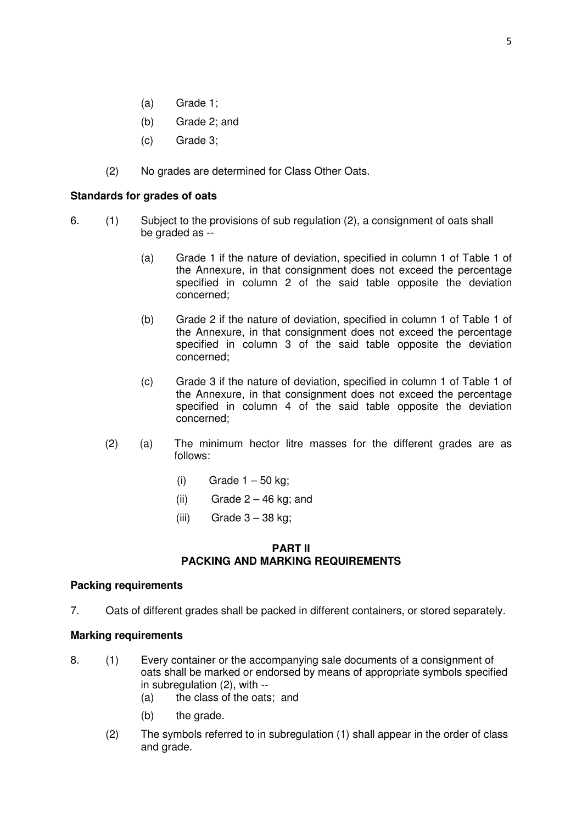- (a) Grade 1;
- (b) Grade 2; and
- (c) Grade 3;
- (2) No grades are determined for Class Other Oats.

# **Standards for grades of oats**

- 6. (1) Subject to the provisions of sub regulation (2), a consignment of oats shall be graded as --
	- (a) Grade 1 if the nature of deviation, specified in column 1 of Table 1 of the Annexure, in that consignment does not exceed the percentage specified in column 2 of the said table opposite the deviation concerned;
	- (b) Grade 2 if the nature of deviation, specified in column 1 of Table 1 of the Annexure, in that consignment does not exceed the percentage specified in column 3 of the said table opposite the deviation concerned;
	- (c) Grade 3 if the nature of deviation, specified in column 1 of Table 1 of the Annexure, in that consignment does not exceed the percentage specified in column 4 of the said table opposite the deviation concerned;
	- (2) (a) The minimum hector litre masses for the different grades are as follows:
		- $(i)$  Grade  $1 50$  kg;
		- $(ii)$  Grade  $2 46$  kg; and
		- (iii) Grade  $3 38$  kg;

# **PART II PACKING AND MARKING REQUIREMENTS**

### **Packing requirements**

7. Oats of different grades shall be packed in different containers, or stored separately.

# **Marking requirements**

- 8. (1) Every container or the accompanying sale documents of a consignment of oats shall be marked or endorsed by means of appropriate symbols specified in subregulation (2), with --
	- (a) the class of the oats; and
	- (b) the grade.
	- (2) The symbols referred to in subregulation (1) shall appear in the order of class and grade.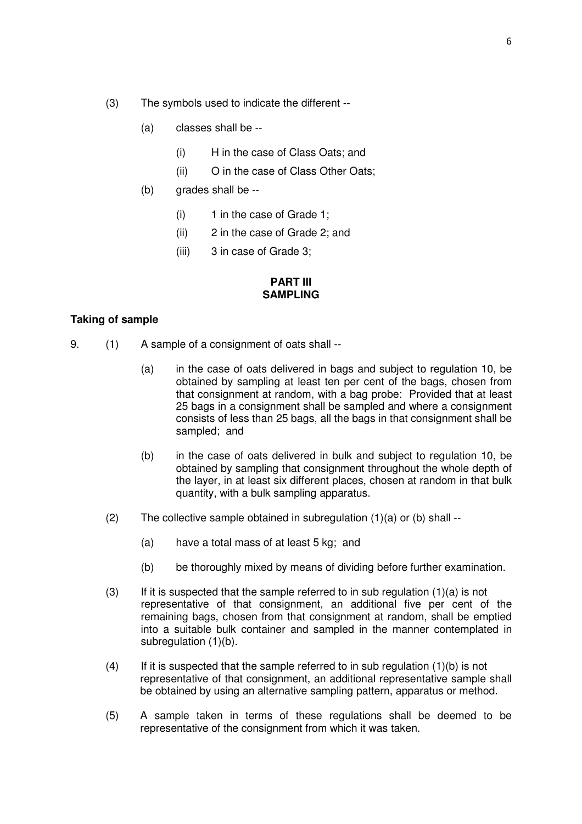- (3) The symbols used to indicate the different --
	- (a) classes shall be --
		- (i) H in the case of Class Oats; and
		- (ii) O in the case of Class Other Oats;
	- (b) grades shall be --
		- $(i)$  1 in the case of Grade 1:
		- (ii) 2 in the case of Grade 2; and
		- (iii) 3 in case of Grade 3;

## **PART III SAMPLING**

# **Taking of sample**

- 9. (1) A sample of a consignment of oats shall --
	- (a) in the case of oats delivered in bags and subject to regulation 10, be obtained by sampling at least ten per cent of the bags, chosen from that consignment at random, with a bag probe: Provided that at least 25 bags in a consignment shall be sampled and where a consignment consists of less than 25 bags, all the bags in that consignment shall be sampled; and
	- (b) in the case of oats delivered in bulk and subject to regulation 10, be obtained by sampling that consignment throughout the whole depth of the layer, in at least six different places, chosen at random in that bulk quantity, with a bulk sampling apparatus.
	- (2) The collective sample obtained in subregulation  $(1)(a)$  or  $(b)$  shall --
		- (a) have a total mass of at least 5 kg; and
		- (b) be thoroughly mixed by means of dividing before further examination.
	- (3) If it is suspected that the sample referred to in sub regulation  $(1)(a)$  is not representative of that consignment, an additional five per cent of the remaining bags, chosen from that consignment at random, shall be emptied into a suitable bulk container and sampled in the manner contemplated in subregulation (1)(b).
	- (4) If it is suspected that the sample referred to in sub regulation  $(1)(b)$  is not representative of that consignment, an additional representative sample shall be obtained by using an alternative sampling pattern, apparatus or method.
	- (5) A sample taken in terms of these regulations shall be deemed to be representative of the consignment from which it was taken.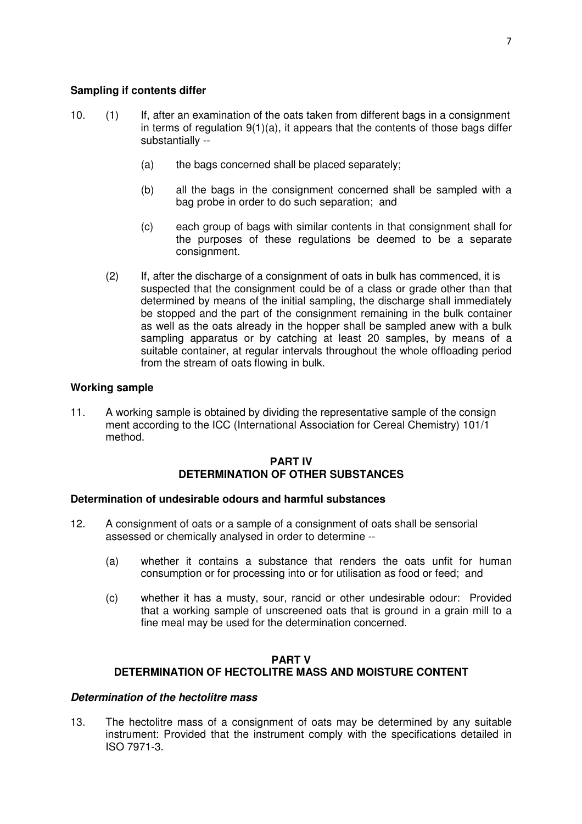- 10. (1) If, after an examination of the oats taken from different bags in a consignment in terms of regulation  $9(1)(a)$ , it appears that the contents of those bags differ substantially --
	- (a) the bags concerned shall be placed separately;
	- (b) all the bags in the consignment concerned shall be sampled with a bag probe in order to do such separation; and
	- (c) each group of bags with similar contents in that consignment shall for the purposes of these regulations be deemed to be a separate consignment.
	- (2) If, after the discharge of a consignment of oats in bulk has commenced, it is suspected that the consignment could be of a class or grade other than that determined by means of the initial sampling, the discharge shall immediately be stopped and the part of the consignment remaining in the bulk container as well as the oats already in the hopper shall be sampled anew with a bulk sampling apparatus or by catching at least 20 samples, by means of a suitable container, at regular intervals throughout the whole offloading period from the stream of oats flowing in bulk.

# **Working sample**

11. A working sample is obtained by dividing the representative sample of the consign ment according to the ICC (International Association for Cereal Chemistry) 101/1 method.

# **PART IV DETERMINATION OF OTHER SUBSTANCES**

## **Determination of undesirable odours and harmful substances**

- 12. A consignment of oats or a sample of a consignment of oats shall be sensorial assessed or chemically analysed in order to determine --
	- (a) whether it contains a substance that renders the oats unfit for human consumption or for processing into or for utilisation as food or feed; and
	- (c) whether it has a musty, sour, rancid or other undesirable odour: Provided that a working sample of unscreened oats that is ground in a grain mill to a fine meal may be used for the determination concerned.

# **PART V DETERMINATION OF HECTOLITRE MASS AND MOISTURE CONTENT**

### **Determination of the hectolitre mass**

13. The hectolitre mass of a consignment of oats may be determined by any suitable instrument: Provided that the instrument comply with the specifications detailed in ISO 7971-3.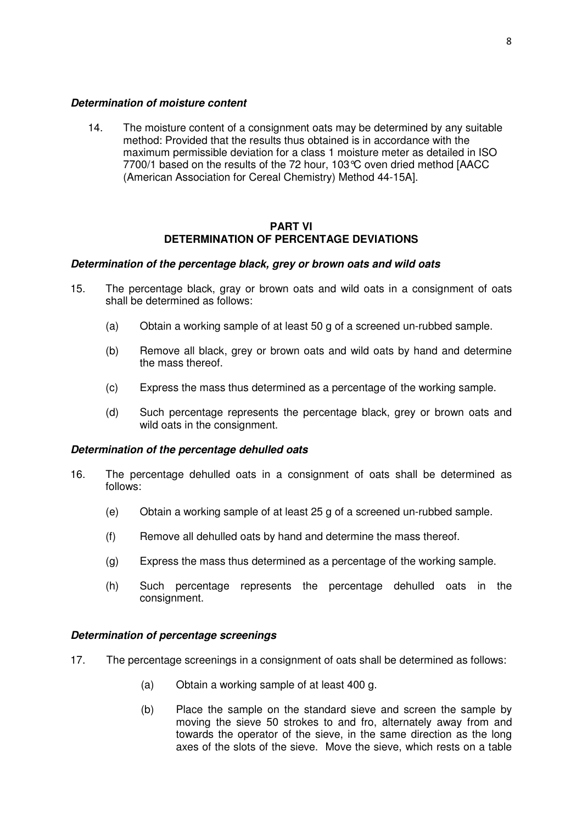## **Determination of moisture content**

14. The moisture content of a consignment oats may be determined by any suitable method: Provided that the results thus obtained is in accordance with the maximum permissible deviation for a class 1 moisture meter as detailed in ISO 7700/1 based on the results of the 72 hour, 103°C oven dried method [AACC (American Association for Cereal Chemistry) Method 44-15A].

### **PART VI DETERMINATION OF PERCENTAGE DEVIATIONS**

# **Determination of the percentage black, grey or brown oats and wild oats**

- 15. The percentage black, gray or brown oats and wild oats in a consignment of oats shall be determined as follows:
	- (a) Obtain a working sample of at least 50 g of a screened un-rubbed sample.
	- (b) Remove all black, grey or brown oats and wild oats by hand and determine the mass thereof.
	- (c) Express the mass thus determined as a percentage of the working sample.
	- (d) Such percentage represents the percentage black, grey or brown oats and wild oats in the consignment.

### **Determination of the percentage dehulled oats**

- 16. The percentage dehulled oats in a consignment of oats shall be determined as follows:
	- (e) Obtain a working sample of at least 25 g of a screened un-rubbed sample.
	- (f) Remove all dehulled oats by hand and determine the mass thereof.
	- (g) Express the mass thus determined as a percentage of the working sample.
	- (h) Such percentage represents the percentage dehulled oats in the consignment.

### **Determination of percentage screenings**

- 17. The percentage screenings in a consignment of oats shall be determined as follows:
	- (a) Obtain a working sample of at least 400 g.
	- (b) Place the sample on the standard sieve and screen the sample by moving the sieve 50 strokes to and fro, alternately away from and towards the operator of the sieve, in the same direction as the long axes of the slots of the sieve. Move the sieve, which rests on a table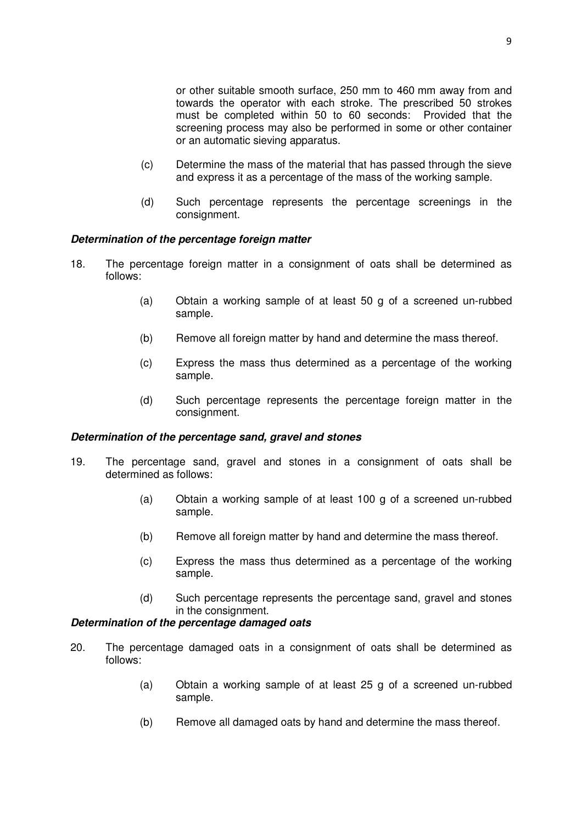or other suitable smooth surface, 250 mm to 460 mm away from and towards the operator with each stroke. The prescribed 50 strokes must be completed within 50 to 60 seconds: Provided that the screening process may also be performed in some or other container or an automatic sieving apparatus.

- (c) Determine the mass of the material that has passed through the sieve and express it as a percentage of the mass of the working sample.
- (d) Such percentage represents the percentage screenings in the consignment.

### **Determination of the percentage foreign matter**

- 18. The percentage foreign matter in a consignment of oats shall be determined as follows:
	- (a) Obtain a working sample of at least 50 g of a screened un-rubbed sample.
	- (b) Remove all foreign matter by hand and determine the mass thereof.
	- (c) Express the mass thus determined as a percentage of the working sample.
	- (d) Such percentage represents the percentage foreign matter in the consignment.

#### **Determination of the percentage sand, gravel and stones**

- 19. The percentage sand, gravel and stones in a consignment of oats shall be determined as follows:
	- (a) Obtain a working sample of at least 100 g of a screened un-rubbed sample.
	- (b) Remove all foreign matter by hand and determine the mass thereof.
	- (c) Express the mass thus determined as a percentage of the working sample.
	- (d) Such percentage represents the percentage sand, gravel and stones in the consignment.

## **Determination of the percentage damaged oats**

- 20. The percentage damaged oats in a consignment of oats shall be determined as follows:
	- (a) Obtain a working sample of at least 25 g of a screened un-rubbed sample.
	- (b) Remove all damaged oats by hand and determine the mass thereof.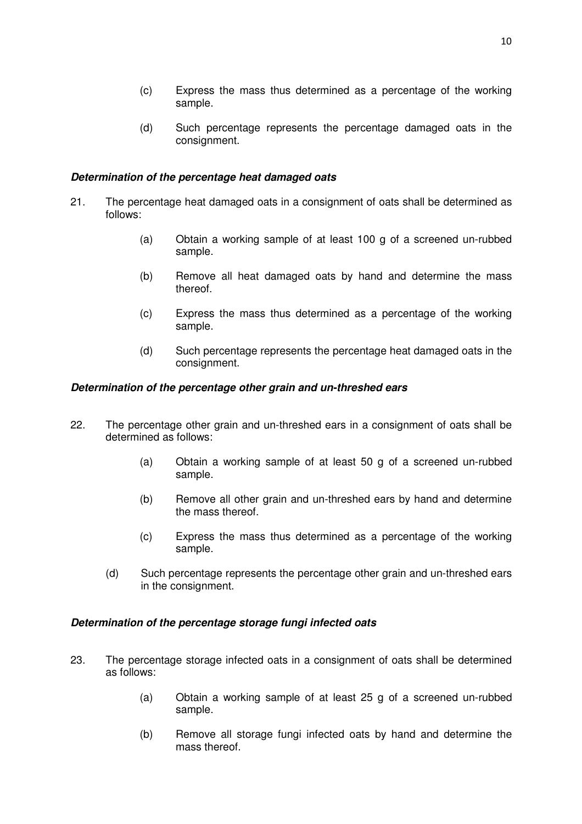- (c) Express the mass thus determined as a percentage of the working sample.
- (d) Such percentage represents the percentage damaged oats in the consignment.

# **Determination of the percentage heat damaged oats**

- 21. The percentage heat damaged oats in a consignment of oats shall be determined as follows:
	- (a) Obtain a working sample of at least 100 g of a screened un-rubbed sample.
	- (b) Remove all heat damaged oats by hand and determine the mass thereof.
	- (c) Express the mass thus determined as a percentage of the working sample.
	- (d) Such percentage represents the percentage heat damaged oats in the consignment.

# **Determination of the percentage other grain and un-threshed ears**

- 22. The percentage other grain and un-threshed ears in a consignment of oats shall be determined as follows:
	- (a) Obtain a working sample of at least 50 g of a screened un-rubbed sample.
	- (b) Remove all other grain and un-threshed ears by hand and determine the mass thereof.
	- (c) Express the mass thus determined as a percentage of the working sample.
	- (d) Such percentage represents the percentage other grain and un-threshed ears in the consignment.

### **Determination of the percentage storage fungi infected oats**

- 23. The percentage storage infected oats in a consignment of oats shall be determined as follows:
	- (a) Obtain a working sample of at least 25 g of a screened un-rubbed sample.
	- (b) Remove all storage fungi infected oats by hand and determine the mass thereof.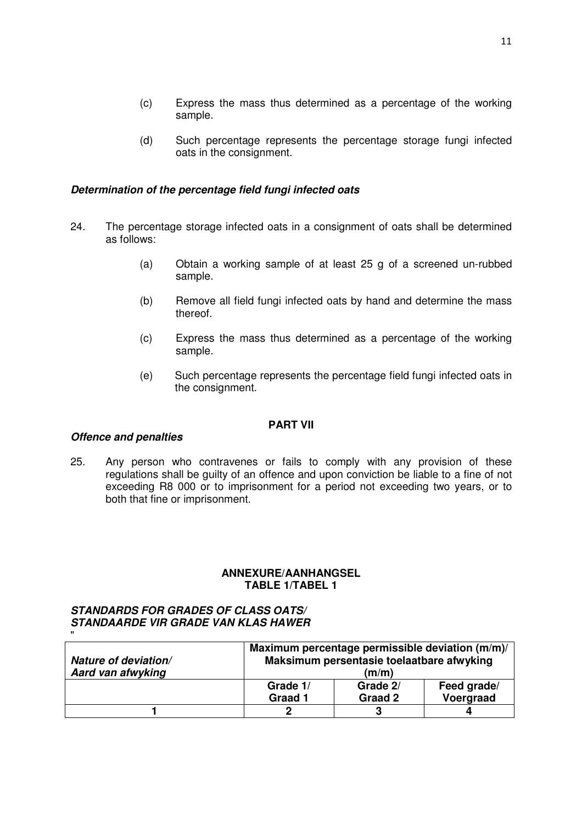(d) Such percentage represents the percentage storage fungi infected oats in the consignment.

# **Determination of the percentage field fungi infected oats**

- 24. The percentage storage infected oats in a consignment of oats shall be determined as follows:
	- (a) Obtain a working sample of at least 25 g of a screened un-rubbed sample.
	- (b) Remove all field fungi infected oats by hand and determine the mass thereof.
	- (c) Express the mass thus determined as a percentage of the working sample.
	- (e) Such percentage represents the percentage field fungi infected oats in the consignment.

## **PART VII**

## **Offence and penalties**

25. Any person who contravenes or fails to comply with any provision of these regulations shall be guilty of an offence and upon conviction be liable to a fine of not exceeding R8 000 or to imprisonment for a period not exceeding two years, or to both that fine or imprisonment.

# **ANNEXURE/AANHANGSEL TABLE 1/TABEL 1**

# **STANDARDS FOR GRADES OF CLASS OATS/ STANDAARDE VIR GRADE VAN KLAS HAWER**

| $\mathbf{u}$         |                                                                                              |          |             |  |
|----------------------|----------------------------------------------------------------------------------------------|----------|-------------|--|
| Nature of deviation/ | Maximum percentage permissible deviation (m/m)/<br>Maksimum persentasie toelaatbare afwyking |          |             |  |
| Aard van afwyking    | (m/m)                                                                                        |          |             |  |
|                      | Grade 1/                                                                                     | Grade 2/ | Feed grade/ |  |
|                      | Graad 1                                                                                      | Graad 2  | Voergraad   |  |
|                      |                                                                                              | 3        |             |  |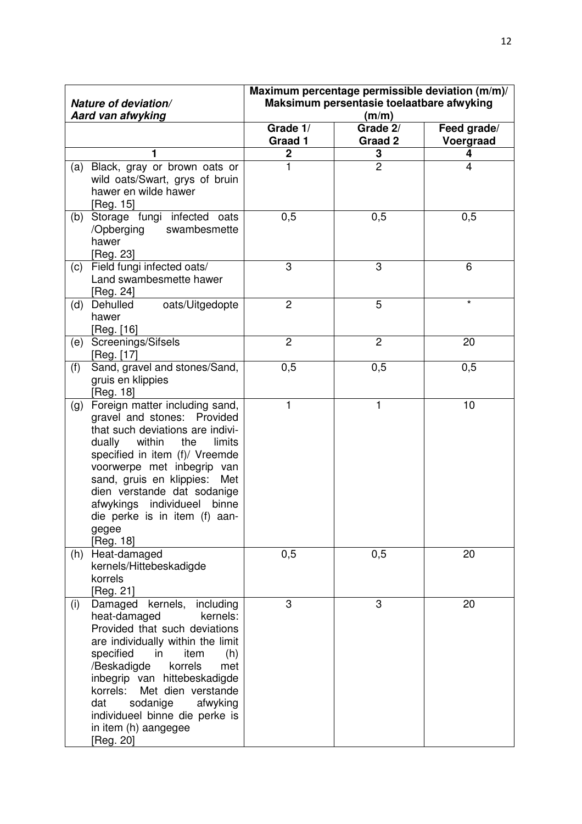|     | Nature of deviation/<br>Aard van afwyking                                                                                                                                                                                                                                                                                                                                  | Maximum percentage permissible deviation (m/m)/<br>Maksimum persentasie toelaatbare afwyking<br>(m/m) |                     |                          |
|-----|----------------------------------------------------------------------------------------------------------------------------------------------------------------------------------------------------------------------------------------------------------------------------------------------------------------------------------------------------------------------------|-------------------------------------------------------------------------------------------------------|---------------------|--------------------------|
|     |                                                                                                                                                                                                                                                                                                                                                                            | Grade 1/<br>Graad 1                                                                                   | Grade 2/<br>Graad 2 | Feed grade/<br>Voergraad |
|     | 1                                                                                                                                                                                                                                                                                                                                                                          | $\mathbf 2$                                                                                           | 3                   | 4                        |
| (a) | Black, gray or brown oats or<br>wild oats/Swart, grys of bruin<br>hawer en wilde hawer<br>[Reg. 15]                                                                                                                                                                                                                                                                        | 1                                                                                                     | $\overline{2}$      | 4                        |
| (b) | Storage fungi infected<br>oats<br>swambesmette<br>/Opberging<br>hawer<br>[Reg. 23]                                                                                                                                                                                                                                                                                         | 0,5                                                                                                   | 0,5                 | 0,5                      |
| (c) | Field fungi infected oats/<br>Land swambesmette hawer<br>[Reg. 24]                                                                                                                                                                                                                                                                                                         | 3                                                                                                     | 3                   | 6                        |
| (d) | Dehulled<br>oats/Uitgedopte<br>hawer<br>[Reg. [16]                                                                                                                                                                                                                                                                                                                         | $\overline{2}$                                                                                        | 5                   | $\star$                  |
| (e) | Screenings/Sifsels<br>[Reg. [17]                                                                                                                                                                                                                                                                                                                                           | $\overline{2}$                                                                                        | $\overline{c}$      | 20                       |
| (f) | Sand, gravel and stones/Sand,<br>gruis en klippies<br>[Reg. 18]                                                                                                                                                                                                                                                                                                            | 0,5                                                                                                   | 0,5                 | 0,5                      |
| (g) | Foreign matter including sand,<br>gravel and stones: Provided<br>that such deviations are indivi-<br>within<br>dually<br>the<br>limits<br>specified in item (f)/ Vreemde<br>voorwerpe met inbegrip van<br>sand, gruis en klippies:<br>Met<br>dien verstande dat sodanige<br>afwykings individueel<br>binne<br>die perke is in item (f) aan-<br>gegee<br>[Reg. 18]          | 1                                                                                                     | 1                   | 10                       |
| (h) | Heat-damaged<br>kernels/Hittebeskadigde<br>korrels<br>[Reg. 21]                                                                                                                                                                                                                                                                                                            | 0,5                                                                                                   | 0,5                 | 20                       |
| (i) | Damaged kernels,<br>including<br>heat-damaged<br>kernels:<br>Provided that such deviations<br>are individually within the limit<br>specified<br>in<br>item<br>(h)<br>/Beskadigde<br>korrels<br>met<br>inbegrip van hittebeskadigde<br>korrels:<br>Met dien verstande<br>sodanige<br>afwyking<br>dat<br>individueel binne die perke is<br>in item (h) aangegee<br>[Reg. 20] | 3                                                                                                     | 3                   | 20                       |